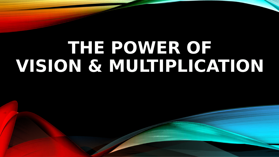# **THE POWER OF VISION & MULTIPLICATION**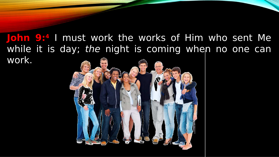**John 9:<sup>4</sup>** I must work the works of Him who sent Me while it is day; the night is coming when no one can work.

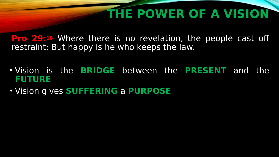**Pro 29:18** Where there is no revelation, the people cast off restraint; But happy is he who keeps the law.

- Vision is the **BRIDGE** between the **PRESENT** and the **FUTURE**
- Vision gives **SUFFERING** a **PURPOSE**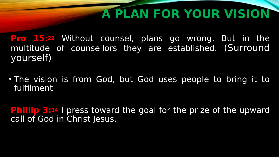# **A PLAN FOR YOUR VISION**

**Pro 15:<sup>22</sup>** Without counsel, plans go wrong, But in the multitude of counsellors they are established. (Surround yourself)

• The vision is from God, but God uses people to bring it to fulfilment

**Phillip 3:14** I press toward the goal for the prize of the upward call of God in Christ Jesus.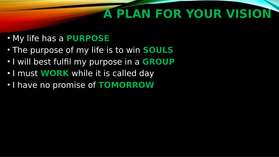# **A PLAN FOR YOUR VISION**

- My life has a **PURPOSE**
- The purpose of my life is to win **SOULS**
- I will best fulfil my purpose in a **GROUP**
- I must **WORK** while it is called day
- I have no promise of **TOMORROW**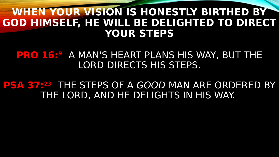#### **WHEN YOUR VISION IS HONESTLY BIRTHED BY GOD HIMSELF, HE WILL BE DELIGHTED TO DIRECT YOUR STEPS**

#### **PRO 16:<sup>9</sup>** A MAN'S HEART PLANS HIS WAY, BUT THE LORD DIRECTS HIS STEPS.

#### **PSA 37:<sup>23</sup>** THE STEPS OF A GOOD MAN ARE ORDERED BY THE LORD, AND HE DELIGHTS IN HIS WAY.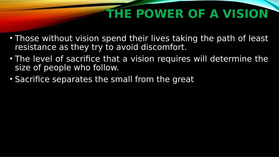- Those without vision spend their lives taking the path of least resistance as they try to avoid discomfort.
- The level of sacrifice that a vision requires will determine the size of people who follow.
- Sacrifice separates the small from the great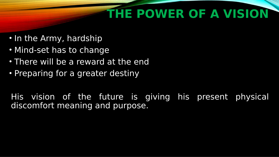- In the Army, hardship
- Mind-set has to change
- There will be a reward at the end
- Preparing for a greater destiny

His vision of the future is giving his present physical discomfort meaning and purpose.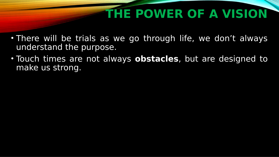- There will be trials as we go through life, we don't always understand the purpose.
- Touch times are not always **obstacles**, but are designed to make us strong.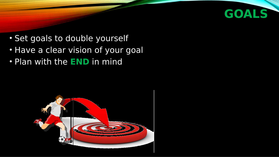

- Set goals to double yourself
- Have a clear vision of your goal
- Plan with the **END** in mind

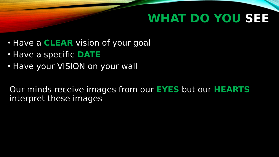### **WHAT DO YOU SEE**

- Have a **CLEAR** vision of your goal
- Have a specific **DATE**
- Have your VISION on your wall

Our minds receive images from our **EYES** but our **HEARTS** interpret these images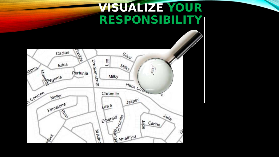### **VISUALIZE YOUR RESPONSIBILITY**

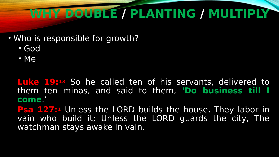# **WHY DOUBLE / PLANTING / MULTIPLY**

#### • Who is responsible for growth?

- God
- Me

**Luke 19:13** So he called ten of his servants, delivered to them ten minas, and said to them, **'Do business till I come**.'

**Psa 127:**<sup>1</sup> Unless the LORD builds the house, They labor in vain who build it; Unless the LORD guards the city, The watchman stays awake in vain.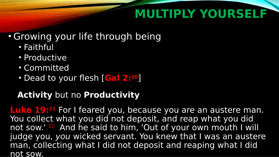### **MULTIPLY YOURSELF**

#### • Growing your life through being

- Faithful
- Productive
- Committed
- Dead to your flesh [**Gal 2:20**]

#### **Activity** but no **Productivity**

**Luke 19:<sup>21</sup>** For I feared you, because you are an austere man. You collect what you did not deposit, and reap what you did not sow.' 22 And he said to him, 'Out of your own mouth I will judge you, you wicked servant. You knew that I was an austere man, collecting what I did not deposit and reaping what I did not sow.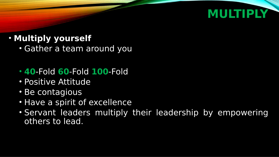### **MULTIPLY**

#### • **Multiply yourself**

- Gather a team around you
- **40**-Fold **60**-Fold **100**-Fold
- Positive Attitude
- Be contagious
- Have a spirit of excellence
- Servant leaders multiply their leadership by empowering others to lead.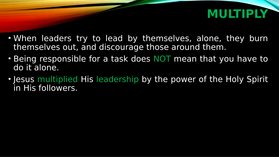### **MULTIPLY**

- When leaders try to lead by themselves, alone, they burn themselves out, and discourage those around them.
- Being responsible for a task does NOT mean that you have to do it alone.
- Jesus multiplied His leadership by the power of the Holy Spirit in His followers.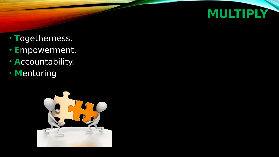

- **T**ogetherness.
- $\bullet$ **E**mpowerment.
- **A**ccountability.
- **M**entoring

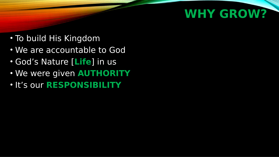### **WHY GROW?**

- To build His Kingdom
- We are accountable to God
- God's Nature [**Life**] in us
- We were given **AUTHORITY**
- It's our **RESPONSIBILITY**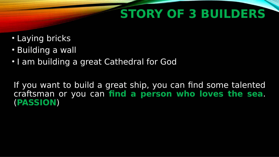# **STORY OF 3 BUILDERS**

- Laying bricks
- Building a wall
- I am building a great Cathedral for God

If you want to build a great ship, you can find some talented craftsman or you can **find a person who loves the sea**. (**PASSION**)